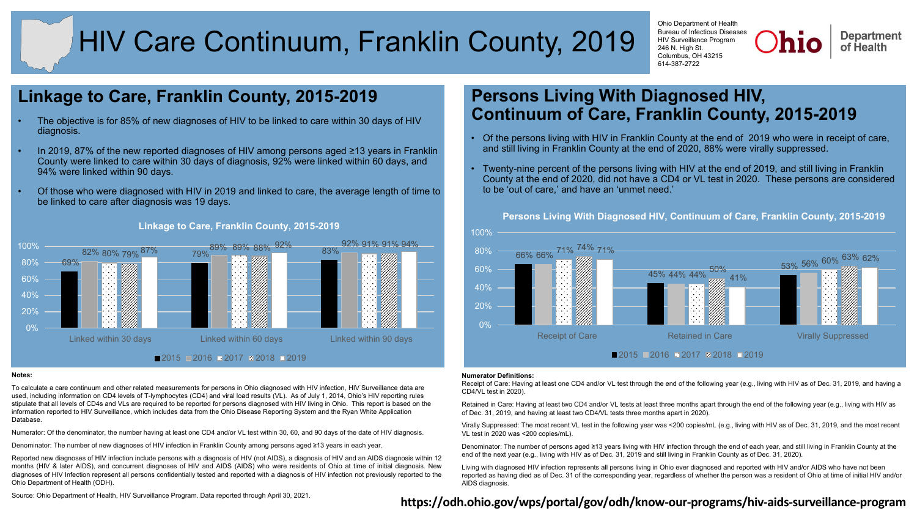# HIV Care Continuum, Franklin County, 2019

Ohio Department of Health Bureau of Infectious Diseases HIV Surveillance Program 246 N. High St. Columbus, OH 43215 614-387-2722

**Department** of Health

# **Linkage to Care, Franklin County, 2015-2019**

- The objective is for 85% of new diagnoses of HIV to be linked to care within 30 days of HIV diagnosis.
- In 2019, 87% of the new reported diagnoses of HIV among persons aged ≥13 years in Franklin County were linked to care within 30 days of diagnosis, 92% were linked within 60 days, and 94% were linked within 90 days.
- Of those who were diagnosed with HIV in 2019 and linked to care, the average length of time to be linked to care after diagnosis was 19 days.



#### **Linkage to Care, Franklin County, 2015-2019**

#### **Notes:**

To calculate a care continuum and other related measurements for persons in Ohio diagnosed with HIV infection, HIV Surveillance data are used, including information on CD4 levels of T-lymphocytes (CD4) and viral load results (VL). As of July 1, 2014, Ohio's HIV reporting rules stipulate that all levels of CD4s and VLs are required to be reported for persons diagnosed with HIV living in Ohio. This report is based on the information reported to HIV Surveillance, which includes data from the Ohio Disease Reporting System and the Ryan White Application Database.

Numerator: Of the denominator, the number having at least one CD4 and/or VL test within 30, 60, and 90 days of the date of HIV diagnosis.

Denominator: The number of new diagnoses of HIV infection in Franklin County among persons aged ≥13 years in each year.

Reported new diagnoses of HIV infection include persons with a diagnosis of HIV (not AIDS), a diagnosis of HIV and an AIDS diagnosis within 12 months (HIV & later AIDS), and concurrent diagnoses of HIV and AIDS (AIDS) who were residents of Ohio at time of initial diagnosis. New diagnoses of HIV Infection represent all persons confidentially tested and reported with a diagnosis of HIV infection not previously reported to the Ohio Department of Health (ODH).

# **Persons Living With Diagnosed HIV, Continuum of Care, Franklin County, 2015-2019**

- Of the persons living with HIV in Franklin County at the end of 2019 who were in receipt of care, and still living in Franklin County at the end of 2020, 88% were virally suppressed.
- Twenty-nine percent of the persons living with HIV at the end of 2019, and still living in Franklin County at the end of 2020, did not have a CD4 or VL test in 2020. These persons are considered to be 'out of care,' and have an 'unmet need.'



#### **Numerator Definitions:**

Receipt of Care: Having at least one CD4 and/or VL test through the end of the following year (e.g., living with HIV as of Dec. 31, 2019, and having a CD4/VL test in 2020).

Retained in Care: Having at least two CD4 and/or VL tests at least three months apart through the end of the following year (e.g., living with HIV as of Dec. 31, 2019, and having at least two CD4/VL tests three months apart in 2020).

Virally Suppressed: The most recent VL test in the following year was <200 copies/mL (e.g., living with HIV as of Dec. 31, 2019, and the most recent VL test in 2020 was <200 copies/mL).

Denominator: The number of persons aged ≥13 years living with HIV infection through the end of each year, and still living in Franklin County at the end of the next year (e.g., living with HIV as of Dec. 31, 2019 and still living in Franklin County as of Dec. 31, 2020).

Living with diagnosed HIV infection represents all persons living in Ohio ever diagnosed and reported with HIV and/or AIDS who have not been reported as having died as of Dec. 31 of the corresponding year, regardless of whether the person was a resident of Ohio at time of initial HIV and/or AIDS diagnosis.

## Source: Ohio Department of Health, HIV Surveillance Program. Data reported through April 30, 2021.<br> **https://odh.ohio.gov/wps/portal/gov/odh/know-our-programs/hiv-aids-surveillance-program**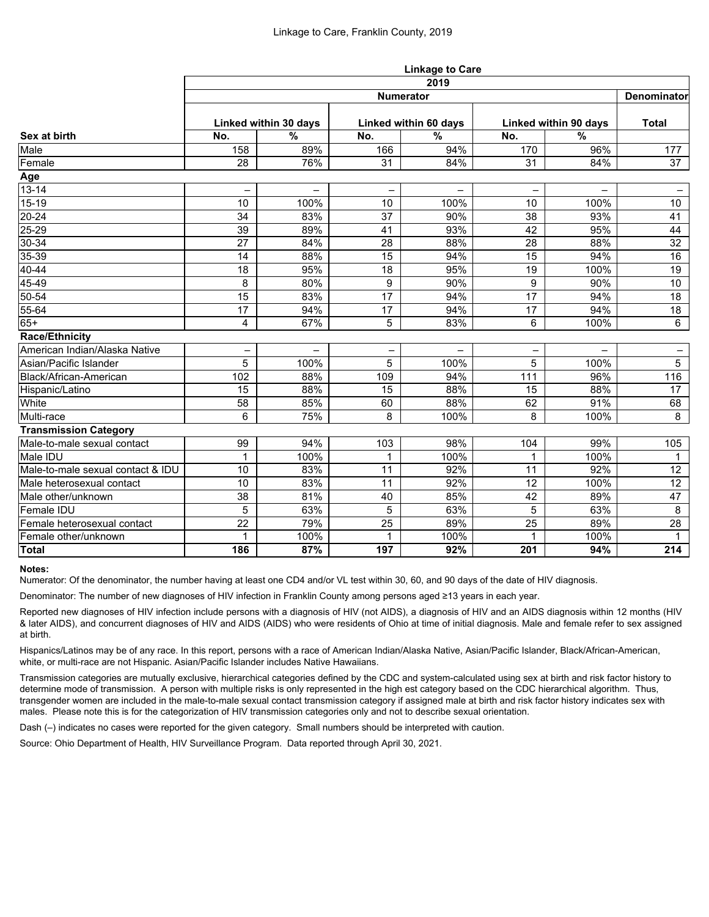|                                   | <b>Linkage to Care</b>   |                          |              |                          |     |                          |                          |  |  |  |
|-----------------------------------|--------------------------|--------------------------|--------------|--------------------------|-----|--------------------------|--------------------------|--|--|--|
| Sex at birth                      | 2019                     |                          |              |                          |     |                          |                          |  |  |  |
|                                   | <b>Numerator</b>         |                          |              |                          |     |                          |                          |  |  |  |
|                                   | Linked within 30 days    |                          |              | Linked within 60 days    |     | Linked within 90 days    |                          |  |  |  |
|                                   | No.                      | $\frac{0}{0}$            | No.          | $\frac{0}{0}$            | No. | $\frac{0}{0}$            | <b>Total</b>             |  |  |  |
| Male                              | 158                      | 89%                      | 166          | 94%                      | 170 | 96%                      | 177                      |  |  |  |
| Female                            | 28                       | 76%                      | 31           | 84%                      | 31  | 84%                      | 37                       |  |  |  |
| Age                               |                          |                          |              |                          |     |                          |                          |  |  |  |
| $13 - 14$                         | $\overline{\phantom{0}}$ | $\overline{\phantom{0}}$ | -            | $\overline{\phantom{0}}$ |     | $\overline{\phantom{0}}$ | $\overline{\phantom{m}}$ |  |  |  |
| $15-19$                           | 10                       | 100%                     | 10           | 100%                     | 10  | 100%                     | 10 <sup>°</sup>          |  |  |  |
| $20 - 24$                         | 34                       | 83%                      | 37           | 90%                      | 38  | 93%                      | 41                       |  |  |  |
| $25 - 29$                         | 39                       | 89%                      | 41           | 93%                      | 42  | 95%                      | 44                       |  |  |  |
| $30 - 34$                         | 27                       | 84%                      | 28           | 88%                      | 28  | 88%                      | 32                       |  |  |  |
| 35-39                             | 14                       | 88%                      | 15           | 94%                      | 15  | 94%                      | 16                       |  |  |  |
| $40 - 44$                         | 18                       | 95%                      | 18           | 95%                      | 19  | 100%                     | 19                       |  |  |  |
| 45-49                             | 8                        | 80%                      | 9            | 90%                      | 9   | 90%                      | 10 <sup>°</sup>          |  |  |  |
| $50 - 54$                         | 15                       | 83%                      | 17           | 94%                      | 17  | 94%                      | 18                       |  |  |  |
| 55-64                             | 17                       | 94%                      | 17           | 94%                      | 17  | 94%                      | 18                       |  |  |  |
| $65+$                             | 4                        | 67%                      | 5            | 83%                      | 6   | 100%                     | 6                        |  |  |  |
| <b>Race/Ethnicity</b>             |                          |                          |              |                          |     |                          |                          |  |  |  |
| American Indian/Alaska Native     |                          |                          |              |                          |     |                          |                          |  |  |  |
| Asian/Pacific Islander            | 5                        | 100%                     | 5            | 100%                     | 5   | 100%                     | 5 <sup>5</sup>           |  |  |  |
| Black/African-American            | 102                      | 88%                      | 109          | 94%                      | 111 | 96%                      | 116                      |  |  |  |
| Hispanic/Latino                   | 15                       | 88%                      | 15           | 88%                      | 15  | 88%                      | 17                       |  |  |  |
| White                             | 58                       | 85%                      | 60           | 88%                      | 62  | 91%                      | 68                       |  |  |  |
| Multi-race                        | 6                        | 75%                      | 8            | 100%                     | 8   | 100%                     | 8                        |  |  |  |
| <b>Transmission Category</b>      |                          |                          |              |                          |     |                          |                          |  |  |  |
| Male-to-male sexual contact       | 99                       | 94%                      | 103          | 98%                      | 104 | 99%                      | 105                      |  |  |  |
| Male IDU                          | 1                        | 100%                     | 1            | 100%                     | 1   | 100%                     | $\mathbf{1}$             |  |  |  |
| Male-to-male sexual contact & IDU | 10                       | 83%                      | 11           | 92%                      | 11  | 92%                      | 12 <sup>°</sup>          |  |  |  |
| Male heterosexual contact         | 10                       | 83%                      | 11           | 92%                      | 12  | 100%                     | 12 <sub>2</sub>          |  |  |  |
| Male other/unknown                | 38                       | 81%                      | 40           | 85%                      | 42  | 89%                      | 47                       |  |  |  |
| Female IDU                        | $5\phantom{.0}$          | 63%                      | 5            | 63%                      | 5   | 63%                      | 8                        |  |  |  |
| Female heterosexual contact       | 22                       | 79%                      | 25           | 89%                      | 25  | 89%                      | 28                       |  |  |  |
| Female other/unknown              | $\mathbf{1}$             | 100%                     | $\mathbf{1}$ | 100%                     | 1   | 100%                     | $\mathbf{1}$             |  |  |  |
| <b>Total</b>                      | 186                      | 87%                      | 197          | 92%                      | 201 | 94%                      | 214                      |  |  |  |

### **Notes:**

Numerator: Of the denominator, the number having at least one CD4 and/or VL test within 30, 60, and 90 days of the date of HIV diagnosis.

Denominator: The number of new diagnoses of HIV infection in Franklin County among persons aged ≥13 years in each year.

Reported new diagnoses of HIV infection include persons with a diagnosis of HIV (not AIDS), a diagnosis of HIV and an AIDS diagnosis within 12 months (HIV & later AIDS), and concurrent diagnoses of HIV and AIDS (AIDS) who were residents of Ohio at time of initial diagnosis. Male and female refer to sex assigned at birth.

Hispanics/Latinos may be of any race. In this report, persons with a race of American Indian/Alaska Native, Asian/Pacific Islander, Black/African-American, white, or multi-race are not Hispanic. Asian/Pacific Islander includes Native Hawaiians.

Transmission categories are mutually exclusive, hierarchical categories defined by the CDC and system-calculated using sex at birth and risk factor history to determine mode of transmission. A person with multiple risks is only represented in the high est category based on the CDC hierarchical algorithm. Thus, transgender women are included in the male-to-male sexual contact transmission category if assigned male at birth and risk factor history indicates sex with males. Please note this is for the categorization of HIV transmission categories only and not to describe sexual orientation.

Dash (–) indicates no cases were reported for the given category. Small numbers should be interpreted with caution.

Source: Ohio Department of Health, HIV Surveillance Program. Data reported through April 30, 2021.